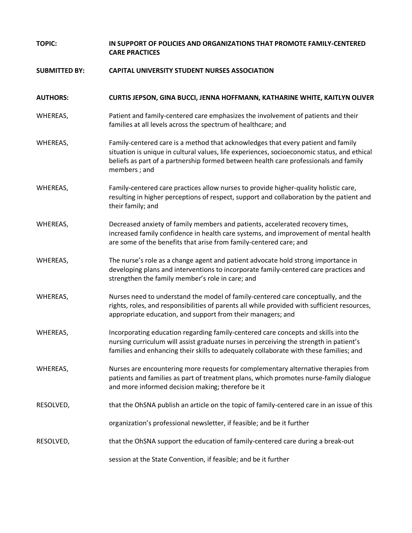| <b>TOPIC:</b>        | IN SUPPORT OF POLICIES AND ORGANIZATIONS THAT PROMOTE FAMILY-CENTERED<br><b>CARE PRACTICES</b>                                                                                                                                                                                          |
|----------------------|-----------------------------------------------------------------------------------------------------------------------------------------------------------------------------------------------------------------------------------------------------------------------------------------|
| <b>SUBMITTED BY:</b> | <b>CAPITAL UNIVERSITY STUDENT NURSES ASSOCIATION</b>                                                                                                                                                                                                                                    |
| <b>AUTHORS:</b>      | CURTIS JEPSON, GINA BUCCI, JENNA HOFFMANN, KATHARINE WHITE, KAITLYN OLIVER                                                                                                                                                                                                              |
| WHEREAS,             | Patient and family-centered care emphasizes the involvement of patients and their<br>families at all levels across the spectrum of healthcare; and                                                                                                                                      |
| WHEREAS,             | Family-centered care is a method that acknowledges that every patient and family<br>situation is unique in cultural values, life experiences, socioeconomic status, and ethical<br>beliefs as part of a partnership formed between health care professionals and family<br>members; and |
| WHEREAS,             | Family-centered care practices allow nurses to provide higher-quality holistic care,<br>resulting in higher perceptions of respect, support and collaboration by the patient and<br>their family; and                                                                                   |
| WHEREAS,             | Decreased anxiety of family members and patients, accelerated recovery times,<br>increased family confidence in health care systems, and improvement of mental health<br>are some of the benefits that arise from family-centered care; and                                             |
| WHEREAS,             | The nurse's role as a change agent and patient advocate hold strong importance in<br>developing plans and interventions to incorporate family-centered care practices and<br>strengthen the family member's role in care; and                                                           |
| WHEREAS,             | Nurses need to understand the model of family-centered care conceptually, and the<br>rights, roles, and responsibilities of parents all while provided with sufficient resources,<br>appropriate education, and support from their managers; and                                        |
| WHEREAS,             | Incorporating education regarding family-centered care concepts and skills into the<br>nursing curriculum will assist graduate nurses in perceiving the strength in patient's<br>families and enhancing their skills to adequately collaborate with these families; and                 |
| WHEREAS,             | Nurses are encountering more requests for complementary alternative therapies from<br>patients and families as part of treatment plans, which promotes nurse-family dialogue<br>and more informed decision making; therefore be it                                                      |
| RESOLVED,            | that the OhSNA publish an article on the topic of family-centered care in an issue of this                                                                                                                                                                                              |
|                      | organization's professional newsletter, if feasible; and be it further                                                                                                                                                                                                                  |
| RESOLVED,            | that the OhSNA support the education of family-centered care during a break-out                                                                                                                                                                                                         |
|                      | session at the State Convention, if feasible; and be it further                                                                                                                                                                                                                         |